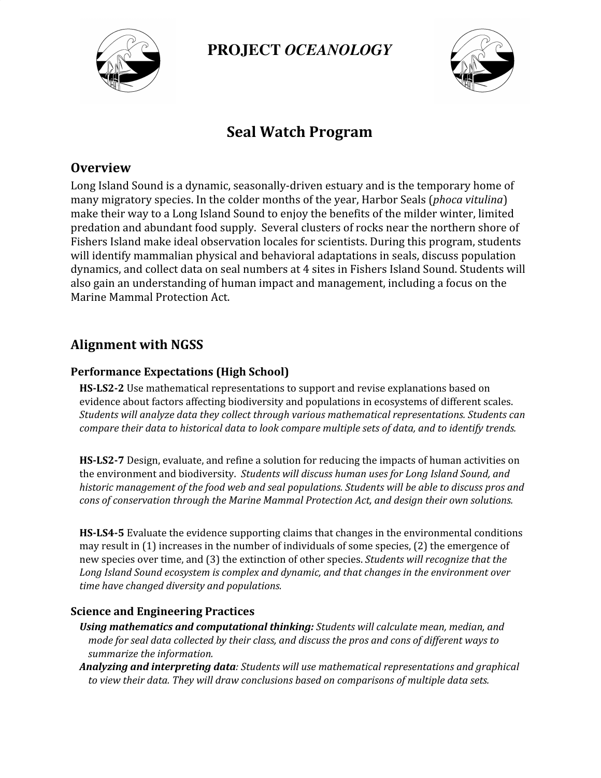

**PROJECT** *OCEANOLOGY*



# **Seal Watch Program**

### **Overview**

Long Island Sound is a dynamic, seasonally-driven estuary and is the temporary home of many migratory species. In the colder months of the year, Harbor Seals (*phoca vitulina*) make their way to a Long Island Sound to enjoy the benefits of the milder winter, limited predation and abundant food supply. Several clusters of rocks near the northern shore of Fishers Island make ideal observation locales for scientists. During this program, students will identify mammalian physical and behavioral adaptations in seals, discuss population dynamics, and collect data on seal numbers at 4 sites in Fishers Island Sound. Students will also gain an understanding of human impact and management, including a focus on the Marine Mammal Protection Act.

## **Alignment with NGSS**

#### **Performance Expectations (High School)**

**HS-LS2-2** Use mathematical representations to support and revise explanations based on evidence about factors affecting biodiversity and populations in ecosystems of different scales. *Students will analyze data they collect through various mathematical representations. Students can compare their data to historical data to look compare multiple sets of data, and to identify trends.*

**HS-LS2-7** Design, evaluate, and refine a solution for reducing the impacts of human activities on the environment and biodiversity. *Students will discuss human uses for Long Island Sound, and historic management of the food web and seal populations. Students will be able to discuss pros and cons of conservation through the Marine Mammal Protection Act, and design their own solutions.*

**HS-LS4-5** Evaluate the evidence supporting claims that changes in the environmental conditions may result in (1) increases in the number of individuals of some species, (2) the emergence of new species over time, and (3) the extinction of other species. *Students will recognize that the Long Island Sound ecosystem is complex and dynamic, and that changes in the environment over time have changed diversity and populations.*

#### **Science and Engineering Practices**

- *Using mathematics and computational thinking: Students will calculate mean, median, and* mode for seal data collected by their class, and discuss the pros and cons of different ways to *summarize the information.*
- *Analyzing and interpreting data: Students will use mathematical representations and graphical to view their data. They will draw conclusions based on comparisons of multiple data sets.*